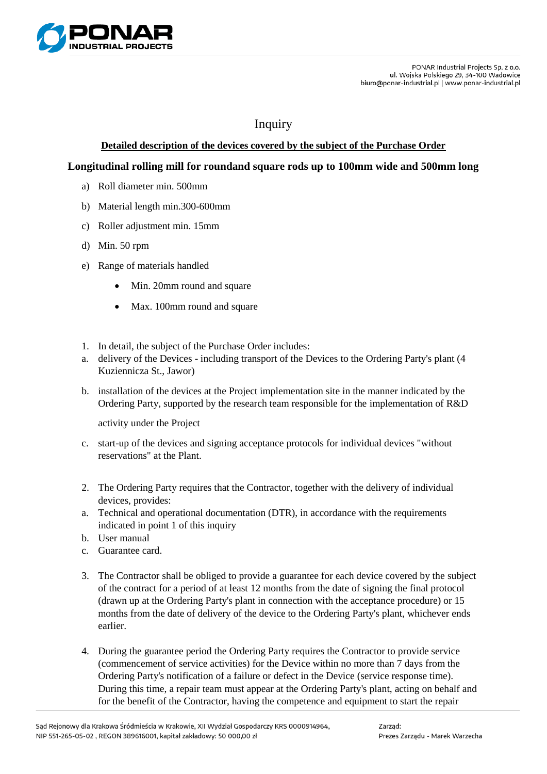

## Inquiry

## **Detailed description of the devices covered by the subject of the Purchase Order**

## **Longitudinal rolling mill for roundand square rods up to 100mm wide and 500mm long**

- a) Roll diameter min. 500mm
- b) Material length min.300-600mm
- c) Roller adjustment min. 15mm
- d) Min. 50 rpm
- e) Range of materials handled
	- Min. 20mm round and square
	- Max. 100mm round and square
- 1. In detail, the subject of the Purchase Order includes:
- a. delivery of the Devices including transport of the Devices to the Ordering Party's plant (4 Kuziennicza St., Jawor)
- b. installation of the devices at the Project implementation site in the manner indicated by the Ordering Party, supported by the research team responsible for the implementation of R&D

activity under the Project

- c. start-up of the devices and signing acceptance protocols for individual devices "without reservations" at the Plant.
- 2. The Ordering Party requires that the Contractor, together with the delivery of individual devices, provides:
- a. Technical and operational documentation (DTR), in accordance with the requirements indicated in point 1 of this inquiry
- b. User manual
- c. Guarantee card.
- 3. The Contractor shall be obliged to provide a guarantee for each device covered by the subject of the contract for a period of at least 12 months from the date of signing the final protocol (drawn up at the Ordering Party's plant in connection with the acceptance procedure) or 15 months from the date of delivery of the device to the Ordering Party's plant, whichever ends earlier.
- 4. During the guarantee period the Ordering Party requires the Contractor to provide service (commencement of service activities) for the Device within no more than 7 days from the Ordering Party's notification of a failure or defect in the Device (service response time). During this time, a repair team must appear at the Ordering Party's plant, acting on behalf and for the benefit of the Contractor, having the competence and equipment to start the repair